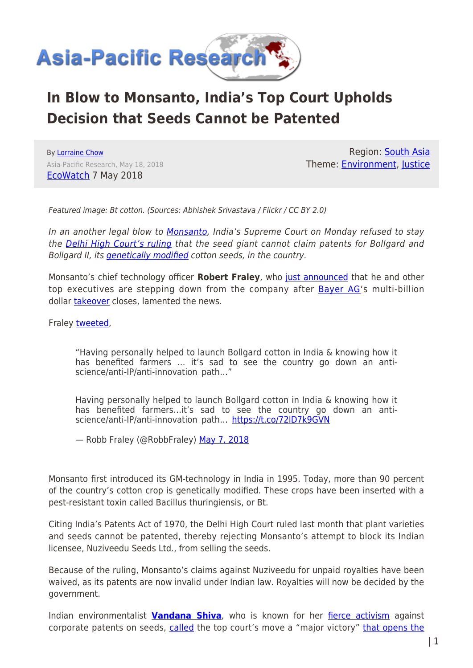

## **In Blow to Monsanto, India's Top Court Upholds Decision that Seeds Cannot be Patented**

By [Lorraine Chow](https://www.asia-pacificresearch.com/author/lorraine-chow) Asia-Pacific Research, May 18, 2018 [EcoWatch](https://www.ecowatch.com/monsanto-india-cotton-patent-2566752905.html) 7 May 2018

Region: [South Asia](https://www.asia-pacificresearch.com/region/south-asia) Theme: [Environment](https://www.asia-pacificresearch.com/theme/environment), [Justice](https://www.asia-pacificresearch.com/theme/justice-2)

Featured image: Bt cotton. (Sources: Abhishek Srivastava / Flickr / CC BY 2.0)

In an another legal blow to [Monsanto,](https://www.ecowatch.com/tag/monsanto) India's Supreme Court on Monday refused to stay the **[Delhi High Court's ruling](https://www.ecowatch.com/monsanto-india-cotton-gmo-2559650068.html)** that the seed giant cannot claim patents for Bollgard and Bollgard II, its *genetically modified* cotton seeds, in the country.

Monsanto's chief technology officer **Robert Fraley**, who [just announced](https://in.reuters.com/article/monsanto-ceo/monsanto-ceo-grant-to-make-way-for-bayers-condon-post-takeover-idINKBN1I81BM) that he and other top executives are stepping down from the company after [Bayer AG'](https://www.ecowatch.com/tag/bayer)s multi-billion dollar [takeover](https://www.ecowatch.com/bayer-monsanto-merger-2550813842.html) closes, lamented the news.

Fraley [tweeted](https://twitter.com/RobbFraley/status/993515399613468674),

"Having personally helped to launch Bollgard cotton in India & knowing how it has benefited farmers … it's sad to see the country go down an antiscience/anti-IP/anti-innovation path…"

Having personally helped to launch Bollgard cotton in India & knowing how it has benefited farmers...it's sad to see the country go down an antiscience/anti-IP/anti-innovation path...<https://t.co/72lD7k9GVN>

— Robb Fraley (@RobbFraley) [May 7, 2018](https://twitter.com/RobbFraley/status/993515399613468674?ref_src=twsrc%5Etfw)

Monsanto first introduced its GM-technology in India in 1995. Today, more than 90 percent of the country's cotton crop is genetically modified. These crops have been inserted with a pest-resistant toxin called Bacillus thuringiensis, or Bt.

Citing India's Patents Act of 1970, the Delhi High Court ruled last month that plant varieties and seeds cannot be patented, thereby rejecting Monsanto's attempt to block its Indian licensee, Nuziveedu Seeds Ltd., from selling the seeds.

Because of the ruling, Monsanto's claims against Nuziveedu for unpaid royalties have been waived, as its patents are now invalid under Indian law. Royalties will now be decided by the government.

Indian environmentalist **[Vandana Shiva](https://www.ecowatch.com/community/vandana_shiva)**, who is known for her [fierce activism](https://www.ecowatch.com/monsanto-gmo-india-2001038793.html) against corporate patents on seeds, [called](https://twitter.com/drvandanashiva/status/993451186278813697) the top court's move a "major victory" [that opens the](https://twitter.com/drvandanashiva/status/993454191954755585)